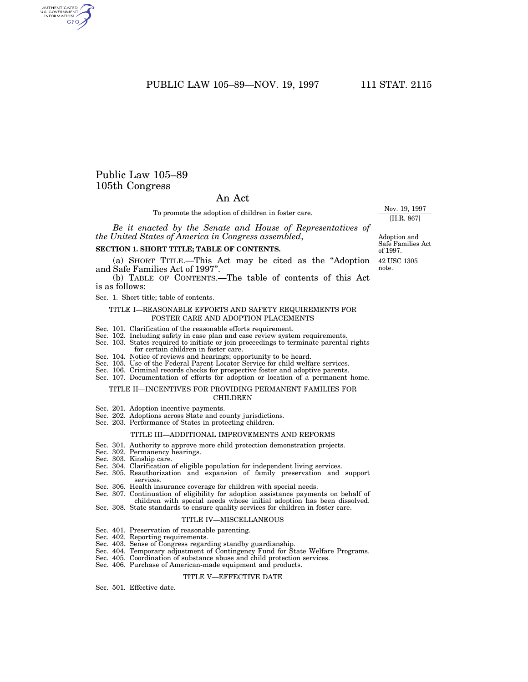PUBLIC LAW 105-89-NOV. 19, 1997 111 STAT. 2115

## Public Law 105–89 105th Congress

AUTHENTICATED<br>U.S. GOVERNMENT<br>INFORMATION **GPO** 

## An Act

To promote the adoption of children in foster care.

*Be it enacted by the Senate and House of Representatives of the United States of America in Congress assembled*,

#### **SECTION 1. SHORT TITLE; TABLE OF CONTENTS.**

(a) SHORT TITLE.—This Act may be cited as the ''Adoption and Safe Families Act of 1997''.

(b) TABLE OF CONTENTS.—The table of contents of this Act is as follows:

Sec. 1. Short title; table of contents.

#### TITLE I—REASONABLE EFFORTS AND SAFETY REQUIREMENTS FOR FOSTER CARE AND ADOPTION PLACEMENTS

- Sec. 101. Clarification of the reasonable efforts requirement.
- Sec. 102. Including safety in case plan and case review system requirements.
- Sec. 103. States required to initiate or join proceedings to terminate parental rights for certain children in foster care.
- Sec. 104. Notice of reviews and hearings; opportunity to be heard.
- Sec. 105. Use of the Federal Parent Locator Service for child welfare services.
- Sec. 106. Criminal records checks for prospective foster and adoptive parents.
- Sec. 107. Documentation of efforts for adoption or location of a permanent home.

#### TITLE II—INCENTIVES FOR PROVIDING PERMANENT FAMILIES FOR CHILDREN

- Sec. 201. Adoption incentive payments.
- Sec. 202. Adoptions across State and county jurisdictions.
- Sec. 203. Performance of States in protecting children.

#### TITLE III—ADDITIONAL IMPROVEMENTS AND REFORMS

- Sec. 301. Authority to approve more child protection demonstration projects.
- Sec. 302. Permanency hearings.
- Sec. 303. Kinship care.
- Sec. 304. Clarification of eligible population for independent living services.
- Sec. 305. Reauthorization and expansion of family preservation and support services.
- Sec. 306. Health insurance coverage for children with special needs.
- Sec. 307. Continuation of eligibility for adoption assistance payments on behalf of children with special needs whose initial adoption has been dissolved.

## Sec. 308. State standards to ensure quality services for children in foster care.

#### TITLE IV—MISCELLANEOUS

- Sec. 401. Preservation of reasonable parenting.
- Sec. 402. Reporting requirements.
- Sec. 403. Sense of Congress regarding standby guardianship.
- Sec. 404. Temporary adjustment of Contingency Fund for State Welfare Programs.
- Sec. 405. Coordination of substance abuse and child protection services.
- Sec. 406. Purchase of American-made equipment and products.

## TITLE V—EFFECTIVE DATE

Sec. 501. Effective date.

Adoption and Safe Families Act of 1997.

42 USC 1305 note.

Nov. 19, 1997 [H.R. 867]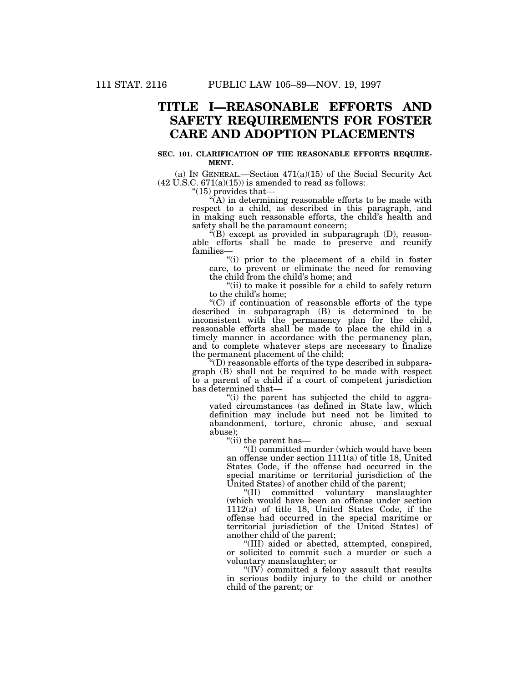# **TITLE I—REASONABLE EFFORTS AND SAFETY REQUIREMENTS FOR FOSTER CARE AND ADOPTION PLACEMENTS**

#### **SEC. 101. CLARIFICATION OF THE REASONABLE EFFORTS REQUIRE-MENT.**

(a) IN GENERAL.—Section 471(a)(15) of the Social Security Act  $(42 \text{ U.S.C. } 671(a)(15))$  is amended to read as follows:

''(15) provides that—

 $\hat{A}$ ) in determining reasonable efforts to be made with respect to a child, as described in this paragraph, and in making such reasonable efforts, the child's health and safety shall be the paramount concern;

''(B) except as provided in subparagraph (D), reasonable efforts shall be made to preserve and reunify families—

"(i) prior to the placement of a child in foster care, to prevent or eliminate the need for removing the child from the child's home; and

"(ii) to make it possible for a child to safely return to the child's home;

''(C) if continuation of reasonable efforts of the type described in subparagraph (B) is determined to be inconsistent with the permanency plan for the child, reasonable efforts shall be made to place the child in a timely manner in accordance with the permanency plan, and to complete whatever steps are necessary to finalize the permanent placement of the child;

 $f(D)$  reasonable efforts of the type described in subparagraph (B) shall not be required to be made with respect to a parent of a child if a court of competent jurisdiction has determined that—

''(i) the parent has subjected the child to aggravated circumstances (as defined in State law, which definition may include but need not be limited to abandonment, torture, chronic abuse, and sexual abuse);

''(ii) the parent has—

''(I) committed murder (which would have been an offense under section 1111(a) of title 18, United States Code, if the offense had occurred in the special maritime or territorial jurisdiction of the United States) of another child of the parent;

''(II) committed voluntary manslaughter (which would have been an offense under section 1112(a) of title 18, United States Code, if the offense had occurred in the special maritime or territorial jurisdiction of the United States) of another child of the parent;

''(III) aided or abetted, attempted, conspired, or solicited to commit such a murder or such a voluntary manslaughter; or

''(IV) committed a felony assault that results in serious bodily injury to the child or another child of the parent; or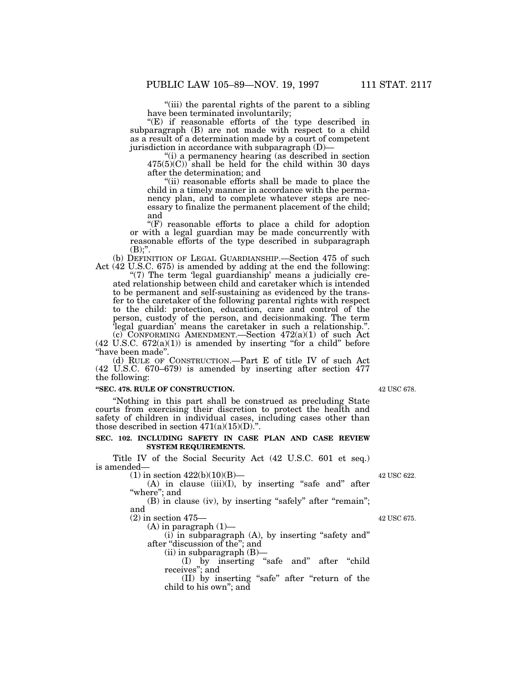''(iii) the parental rights of the parent to a sibling have been terminated involuntarily;

" $(E)$  if reasonable efforts of the type described in subparagraph (B) are not made with respect to a child as a result of a determination made by a court of competent jurisdiction in accordance with subparagraph (D)—

''(i) a permanency hearing (as described in section  $475(5)(C)$  shall be held for the child within 30 days after the determination; and

"(ii) reasonable efforts shall be made to place the child in a timely manner in accordance with the permanency plan, and to complete whatever steps are necessary to finalize the permanent placement of the child; and

''(F) reasonable efforts to place a child for adoption or with a legal guardian may be made concurrently with reasonable efforts of the type described in subparagraph  $(B)$ ;".

(b) DEFINITION OF LEGAL GUARDIANSHIP.—Section 475 of such Act (42 U.S.C. 675) is amended by adding at the end the following:

" $(7)$  The term 'legal guardianship' means a judicially created relationship between child and caretaker which is intended to be permanent and self-sustaining as evidenced by the transfer to the caretaker of the following parental rights with respect to the child: protection, education, care and control of the person, custody of the person, and decisionmaking. The term 'legal guardian' means the caretaker in such a relationship.''. (c) CONFORMING AMENDMENT.—Section  $472(a)(1)$  of such Act

 $(42 \text{ U.S.C. } 672(a)(1))$  is amended by inserting "for a child" before ''have been made''.

(d) RULE OF CONSTRUCTION.—Part E of title IV of such Act (42 U.S.C. 670–679) is amended by inserting after section 477 the following:

## **''SEC. 478. RULE OF CONSTRUCTION.**

''Nothing in this part shall be construed as precluding State courts from exercising their discretion to protect the health and safety of children in individual cases, including cases other than those described in section  $471(a)(15)(D)$ .".

## **SEC. 102. INCLUDING SAFETY IN CASE PLAN AND CASE REVIEW SYSTEM REQUIREMENTS.**

Title IV of the Social Security Act (42 U.S.C. 601 et seq.) is amended—

 $(1)$  in section  $422(b)(10)(B)$ —

 $(A)$  in clause  $(iii)(I)$ , by inserting "safe and" after 'where"; and

(B) in clause (iv), by inserting "safely" after "remain"; and

(2) in section 475—

 $(A)$  in paragraph  $(1)$ —

(i) in subparagraph (A), by inserting ''safety and'' after ''discussion of the''; and (ii) in subparagraph (B)—

(I) by inserting ''safe and'' after ''child receives''; and

(II) by inserting ''safe'' after ''return of the child to his own''; and

42 USC 678.

42 USC 622.

42 USC 675.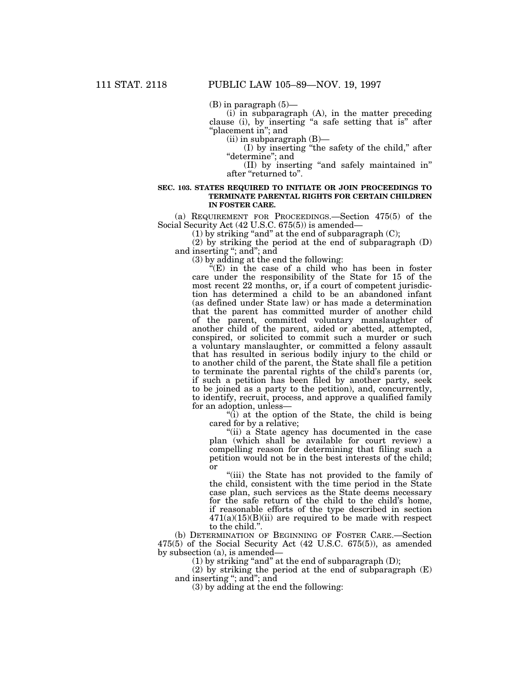$(B)$  in paragraph  $(5)$ —

(i) in subparagraph (A), in the matter preceding clause (i), by inserting ''a safe setting that is'' after "placement in"; and

(ii) in subparagraph (B)—

(I) by inserting ''the safety of the child,'' after "determine"; and

(II) by inserting ''and safely maintained in'' after ''returned to''.

#### **SEC. 103. STATES REQUIRED TO INITIATE OR JOIN PROCEEDINGS TO TERMINATE PARENTAL RIGHTS FOR CERTAIN CHILDREN IN FOSTER CARE.**

(a) REQUIREMENT FOR PROCEEDINGS.—Section 475(5) of the Social Security Act (42 U.S.C. 675(5)) is amended—

(1) by striking "and" at the end of subparagraph  $(C)$ ;

(2) by striking the period at the end of subparagraph (D) and inserting "; and"; and

(3) by adding at the end the following:

"(E) in the case of a child who has been in foster care under the responsibility of the State for 15 of the most recent 22 months, or, if a court of competent jurisdiction has determined a child to be an abandoned infant (as defined under State law) or has made a determination that the parent has committed murder of another child of the parent, committed voluntary manslaughter of another child of the parent, aided or abetted, attempted, conspired, or solicited to commit such a murder or such a voluntary manslaughter, or committed a felony assault that has resulted in serious bodily injury to the child or to another child of the parent, the State shall file a petition to terminate the parental rights of the child's parents (or, if such a petition has been filed by another party, seek to be joined as a party to the petition), and, concurrently, to identify, recruit, process, and approve a qualified family for an adoption, unless—

''(i) at the option of the State, the child is being cared for by a relative;

''(ii) a State agency has documented in the case plan (which shall be available for court review) a compelling reason for determining that filing such a petition would not be in the best interests of the child; or

''(iii) the State has not provided to the family of the child, consistent with the time period in the State case plan, such services as the State deems necessary for the safe return of the child to the child's home, if reasonable efforts of the type described in section  $471(a)(15)(B)(ii)$  are required to be made with respect to the child."

(b) DETERMINATION OF BEGINNING OF FOSTER CARE.—Section 475(5) of the Social Security Act (42 U.S.C. 675(5)), as amended by subsection (a), is amended—

(1) by striking "and" at the end of subparagraph  $(D)$ ;

(2) by striking the period at the end of subparagraph (E) and inserting "; and"; and

(3) by adding at the end the following: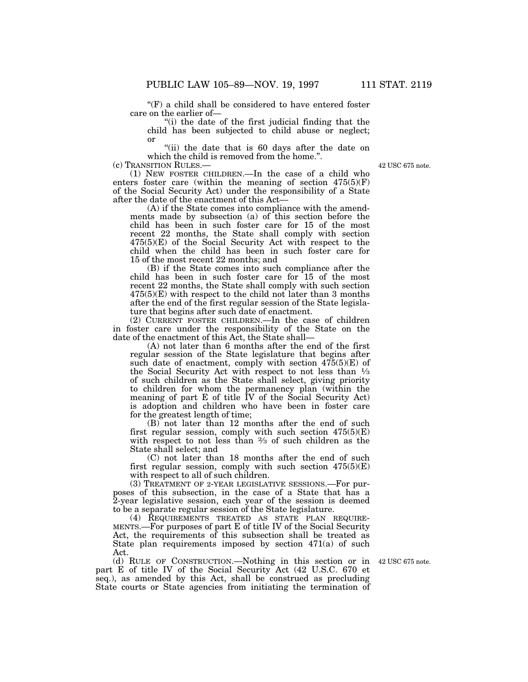$f(F)$  a child shall be considered to have entered foster care on the earlier of—

''(i) the date of the first judicial finding that the child has been subjected to child abuse or neglect; or

''(ii) the date that is 60 days after the date on which the child is removed from the home.".

(c) TRANSITION RULES.—

(1) NEW FOSTER CHILDREN.—In the case of a child who enters foster care (within the meaning of section 475(5)(F) of the Social Security Act) under the responsibility of a State after the date of the enactment of this Act—

(A) if the State comes into compliance with the amendments made by subsection (a) of this section before the child has been in such foster care for 15 of the most recent 22 months, the State shall comply with section  $475(5)(E)$  of the Social Security Act with respect to the child when the child has been in such foster care for 15 of the most recent 22 months; and

(B) if the State comes into such compliance after the child has been in such foster care for 15 of the most recent 22 months, the State shall comply with such section 475(5)(E) with respect to the child not later than 3 months after the end of the first regular session of the State legislature that begins after such date of enactment.

(2) CURRENT FOSTER CHILDREN.—In the case of children in foster care under the responsibility of the State on the date of the enactment of this Act, the State shall—

(A) not later than 6 months after the end of the first regular session of the State legislature that begins after such date of enactment, comply with section  $475(5)(E)$  of the Social Security Act with respect to not less than 1⁄3 of such children as the State shall select, giving priority to children for whom the permanency plan (within the meaning of part E of title IV of the Social Security Act) is adoption and children who have been in foster care for the greatest length of time;

(B) not later than 12 months after the end of such first regular session, comply with such section 475(5)(E) with respect to not less than 2⁄3 of such children as the State shall select; and

(C) not later than 18 months after the end of such first regular session, comply with such section  $475(5)(E)$ with respect to all of such children.

(3) TREATMENT OF 2-YEAR LEGISLATIVE SESSIONS.—For purposes of this subsection, in the case of a State that has a 2-year legislative session, each year of the session is deemed to be a separate regular session of the State legislature.

(4) REQUIREMENTS TREATED AS STATE PLAN REQUIRE-MENTS.—For purposes of part E of title IV of the Social Security Act, the requirements of this subsection shall be treated as State plan requirements imposed by section 471(a) of such Act.

(d) RULE OF CONSTRUCTION.—Nothing in this section or in 42 USC 675 note. part E of title IV of the Social Security Act (42 U.S.C. 670 et seq.), as amended by this Act, shall be construed as precluding State courts or State agencies from initiating the termination of

42 USC 675 note.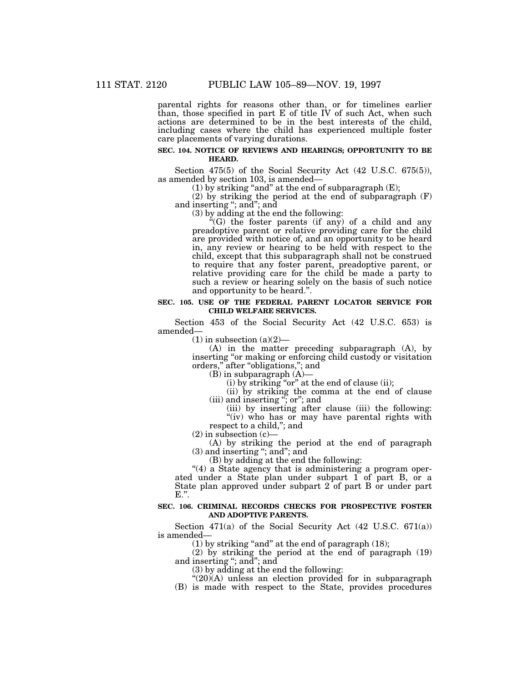parental rights for reasons other than, or for timelines earlier than, those specified in part E of title IV of such Act, when such actions are determined to be in the best interests of the child, including cases where the child has experienced multiple foster care placements of varying durations.

#### **SEC. 104. NOTICE OF REVIEWS AND HEARINGS; OPPORTUNITY TO BE HEARD.**

Section 475(5) of the Social Security Act (42 U.S.C. 675(5)), as amended by section 103, is amended—

(1) by striking "and" at the end of subparagraph  $(E)$ ;

(2) by striking the period at the end of subparagraph (F) and inserting ''; and''; and

(3) by adding at the end the following:

''(G) the foster parents (if any) of a child and any preadoptive parent or relative providing care for the child are provided with notice of, and an opportunity to be heard in, any review or hearing to be held with respect to the child, except that this subparagraph shall not be construed to require that any foster parent, preadoptive parent, or relative providing care for the child be made a party to such a review or hearing solely on the basis of such notice and opportunity to be heard.''.

#### **SEC. 105. USE OF THE FEDERAL PARENT LOCATOR SERVICE FOR CHILD WELFARE SERVICES.**

Section 453 of the Social Security Act (42 U.S.C. 653) is amended—

 $(1)$  in subsection  $(a)(2)$ —

(A) in the matter preceding subparagraph (A), by inserting "or making or enforcing child custody or visitation orders," after "obligations,"; and

(B) in subparagraph (A)—

(i) by striking ''or'' at the end of clause (ii);

(ii) by striking the comma at the end of clause (iii) and inserting ''; or''; and

(iii) by inserting after clause (iii) the following: "(iv) who has or may have parental rights with

respect to a child,''; and

 $(2)$  in subsection  $(c)$ 

(A) by striking the period at the end of paragraph (3) and inserting ''; and''; and

(B) by adding at the end the following:

"(4) a State agency that is administering a program operated under a State plan under subpart 1 of part B, or a State plan approved under subpart 2 of part B or under part  $E.$ ".

#### **SEC. 106. CRIMINAL RECORDS CHECKS FOR PROSPECTIVE FOSTER AND ADOPTIVE PARENTS.**

Section 471(a) of the Social Security Act  $(42 \text{ U.S.C. } 671(a))$ is amended—

(1) by striking ''and'' at the end of paragraph (18);

(2) by striking the period at the end of paragraph (19) and inserting "; and"; and

(3) by adding at the end the following:

"(20)(A) unless an election provided for in subparagraph

(B) is made with respect to the State, provides procedures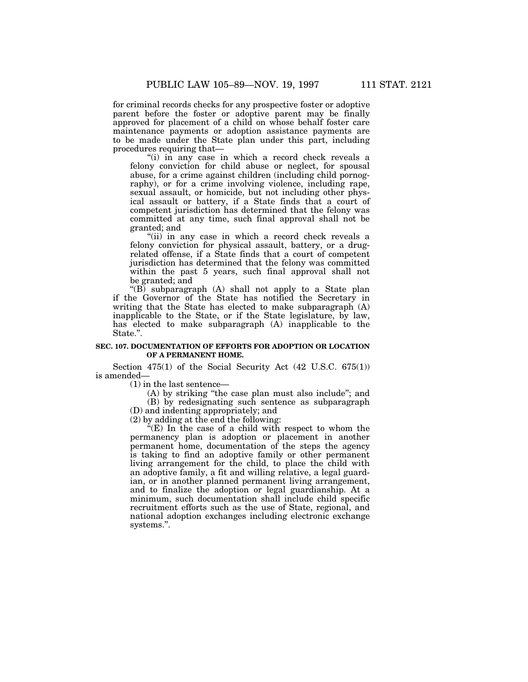for criminal records checks for any prospective foster or adoptive parent before the foster or adoptive parent may be finally approved for placement of a child on whose behalf foster care maintenance payments or adoption assistance payments are to be made under the State plan under this part, including procedures requiring that—

"(i) in any case in which a record check reveals a felony conviction for child abuse or neglect, for spousal abuse, for a crime against children (including child pornography), or for a crime involving violence, including rape, sexual assault, or homicide, but not including other physical assault or battery, if a State finds that a court of competent jurisdiction has determined that the felony was committed at any time, such final approval shall not be granted; and

"(ii) in any case in which a record check reveals a felony conviction for physical assault, battery, or a drugrelated offense, if a State finds that a court of competent jurisdiction has determined that the felony was committed within the past 5 years, such final approval shall not be granted; and

" $(B)$  subparagraph  $(A)$  shall not apply to a State plan if the Governor of the State has notified the Secretary in writing that the State has elected to make subparagraph (A) inapplicable to the State, or if the State legislature, by law, has elected to make subparagraph (A) inapplicable to the State.''.

## **SEC. 107. DOCUMENTATION OF EFFORTS FOR ADOPTION OR LOCATION OF A PERMANENT HOME.**

Section 475(1) of the Social Security Act (42 U.S.C. 675(1)) is amended—

(1) in the last sentence—

(A) by striking ''the case plan must also include''; and (B) by redesignating such sentence as subparagraph

(D) and indenting appropriately; and

(2) by adding at the end the following:

" $(E)$  In the case of a child with respect to whom the permanency plan is adoption or placement in another permanent home, documentation of the steps the agency is taking to find an adoptive family or other permanent living arrangement for the child, to place the child with an adoptive family, a fit and willing relative, a legal guardian, or in another planned permanent living arrangement, and to finalize the adoption or legal guardianship. At a minimum, such documentation shall include child specific recruitment efforts such as the use of State, regional, and national adoption exchanges including electronic exchange systems.''.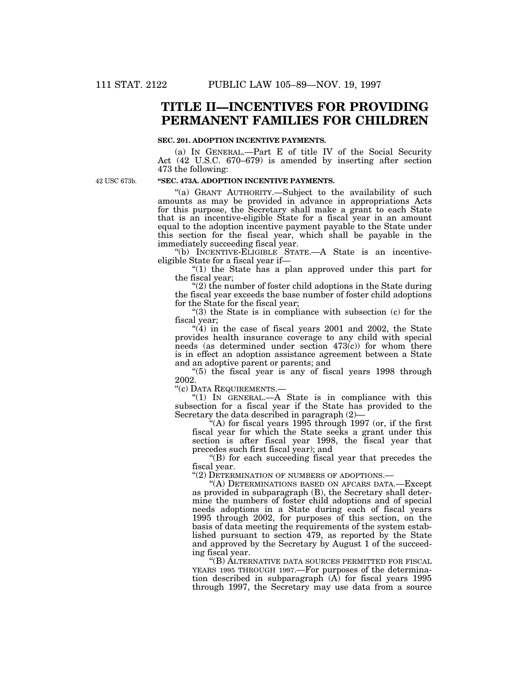# **TITLE II—INCENTIVES FOR PROVIDING PERMANENT FAMILIES FOR CHILDREN**

#### **SEC. 201. ADOPTION INCENTIVE PAYMENTS.**

(a) IN GENERAL.—Part E of title IV of the Social Security Act (42 U.S.C. 670–679) is amended by inserting after section 473 the following:

42 USC 673b.

### **''SEC. 473A. ADOPTION INCENTIVE PAYMENTS.**

"(a) GRANT AUTHORITY.—Subject to the availability of such amounts as may be provided in advance in appropriations Acts for this purpose, the Secretary shall make a grant to each State that is an incentive-eligible State for a fiscal year in an amount equal to the adoption incentive payment payable to the State under this section for the fiscal year, which shall be payable in the immediately succeeding fiscal year.

''(b) INCENTIVE-ELIGIBLE STATE.—A State is an incentiveeligible State for a fiscal year if—

"(1) the State has a plan approved under this part for the fiscal year;

"(2) the number of foster child adoptions in the State during the fiscal year exceeds the base number of foster child adoptions for the State for the fiscal year;

" $(3)$  the State is in compliance with subsection  $(c)$  for the fiscal year;

 $(4)$  in the case of fiscal years 2001 and 2002, the State provides health insurance coverage to any child with special needs (as determined under section  $473(c)$ ) for whom there is in effect an adoption assistance agreement between a State and an adoptive parent or parents; and

''(5) the fiscal year is any of fiscal years 1998 through 2002.

''(c) DATA REQUIREMENTS.—

''(1) IN GENERAL.—A State is in compliance with this subsection for a fiscal year if the State has provided to the Secretary the data described in paragraph (2)—

''(A) for fiscal years 1995 through 1997 (or, if the first fiscal year for which the State seeks a grant under this section is after fiscal year 1998, the fiscal year that precedes such first fiscal year); and

''(B) for each succeeding fiscal year that precedes the fiscal year.

''(2) DETERMINATION OF NUMBERS OF ADOPTIONS.—

"(A) DETERMINATIONS BASED ON AFCARS DATA.—Except as provided in subparagraph (B), the Secretary shall determine the numbers of foster child adoptions and of special needs adoptions in a State during each of fiscal years 1995 through 2002, for purposes of this section, on the basis of data meeting the requirements of the system established pursuant to section 479, as reported by the State and approved by the Secretary by August 1 of the succeeding fiscal year.

''(B) ALTERNATIVE DATA SOURCES PERMITTED FOR FISCAL YEARS 1995 THROUGH 1997.—For purposes of the determination described in subparagraph (A) for fiscal years 1995 through 1997, the Secretary may use data from a source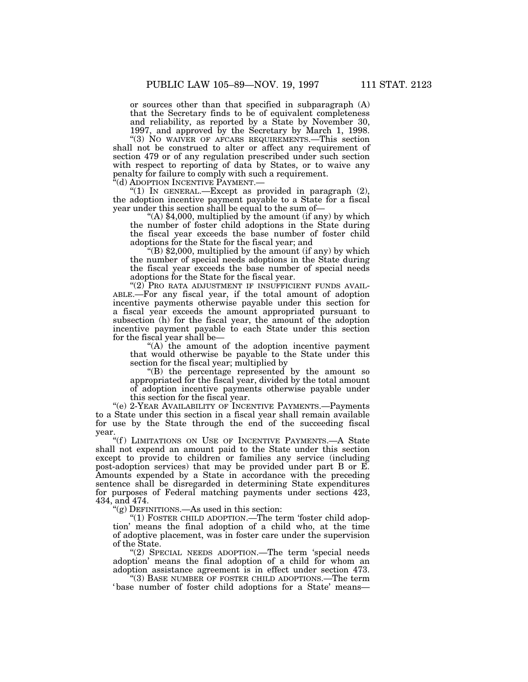or sources other than that specified in subparagraph (A) that the Secretary finds to be of equivalent completeness and reliability, as reported by a State by November 30, 1997, and approved by the Secretary by March 1, 1998.

''(3) NO WAIVER OF AFCARS REQUIREMENTS.—This section shall not be construed to alter or affect any requirement of section 479 or of any regulation prescribed under such section with respect to reporting of data by States, or to waive any penalty for failure to comply with such a requirement. ''(d) ADOPTION INCENTIVE PAYMENT.—

(1) In GENERAL.—Except as provided in paragraph (2), the adoption incentive payment payable to a State for a fiscal year under this section shall be equal to the sum of—

"(A)  $$4,000$ , multiplied by the amount (if any) by which the number of foster child adoptions in the State during the fiscal year exceeds the base number of foster child adoptions for the State for the fiscal year; and

 $E(B)$  \$2,000, multiplied by the amount (if any) by which the number of special needs adoptions in the State during the fiscal year exceeds the base number of special needs adoptions for the State for the fiscal year.

"(2) PRO RATA ADJUSTMENT IF INSUFFICIENT FUNDS AVAIL-ABLE.—For any fiscal year, if the total amount of adoption incentive payments otherwise payable under this section for a fiscal year exceeds the amount appropriated pursuant to subsection (h) for the fiscal year, the amount of the adoption incentive payment payable to each State under this section for the fiscal year shall be—

 $(A)$  the amount of the adoption incentive payment that would otherwise be payable to the State under this section for the fiscal year; multiplied by

''(B) the percentage represented by the amount so appropriated for the fiscal year, divided by the total amount of adoption incentive payments otherwise payable under this section for the fiscal year.

''(e) 2-YEAR AVAILABILITY OF INCENTIVE PAYMENTS.—Payments to a State under this section in a fiscal year shall remain available for use by the State through the end of the succeeding fiscal year.

"(f) LIMITATIONS ON USE OF INCENTIVE PAYMENTS.—A State shall not expend an amount paid to the State under this section except to provide to children or families any service (including post-adoption services) that may be provided under part B or E. Amounts expended by a State in accordance with the preceding sentence shall be disregarded in determining State expenditures for purposes of Federal matching payments under sections 423, 434, and 474.

 $f(g)$  DEFINITIONS.—As used in this section:

"(1) FOSTER CHILD ADOPTION.—The term 'foster child adoption' means the final adoption of a child who, at the time of adoptive placement, was in foster care under the supervision of the State.

"(2) SPECIAL NEEDS ADOPTION.—The term 'special needs adoption' means the final adoption of a child for whom an adoption assistance agreement is in effect under section 473.

''(3) BASE NUMBER OF FOSTER CHILD ADOPTIONS.—The term ' base number of foster child adoptions for a State' means—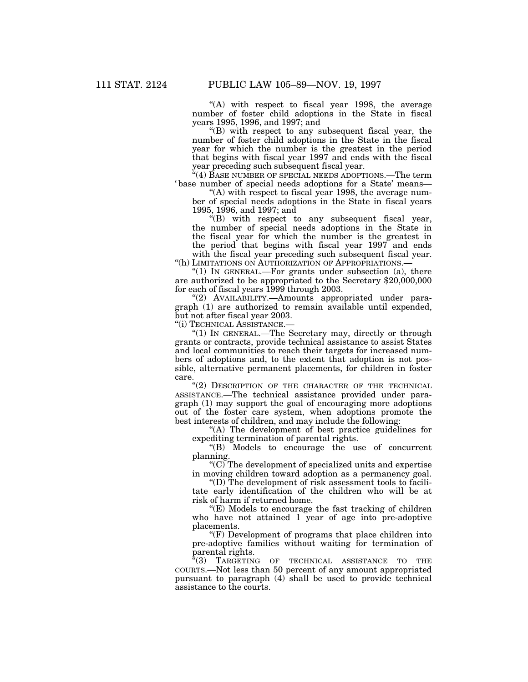"(A) with respect to fiscal year 1998, the average number of foster child adoptions in the State in fiscal years 1995, 1996, and 1997; and

''(B) with respect to any subsequent fiscal year, the number of foster child adoptions in the State in the fiscal year for which the number is the greatest in the period that begins with fiscal year 1997 and ends with the fiscal year preceding such subsequent fiscal year.

''(4) BASE NUMBER OF SPECIAL NEEDS ADOPTIONS.—The term ' base number of special needs adoptions for a State' means—

"(A) with respect to fiscal year 1998, the average number of special needs adoptions in the State in fiscal years 1995, 1996, and 1997; and

 $f(B)$  with respect to any subsequent fiscal year, the number of special needs adoptions in the State in the fiscal year for which the number is the greatest in the period that begins with fiscal year 1997 and ends with the fiscal year preceding such subsequent fiscal year. ''(h) LIMITATIONS ON AUTHORIZATION OF APPROPRIATIONS.—

" $(1)$  In GENERAL.—For grants under subsection  $(a)$ , there are authorized to be appropriated to the Secretary \$20,000,000 for each of fiscal years 1999 through 2003.

''(2) AVAILABILITY.—Amounts appropriated under paragraph (1) are authorized to remain available until expended, but not after fiscal year 2003.

''(i) TECHNICAL ASSISTANCE.—

" $(1)$  In GENERAL.—The Secretary may, directly or through grants or contracts, provide technical assistance to assist States and local communities to reach their targets for increased numbers of adoptions and, to the extent that adoption is not possible, alternative permanent placements, for children in foster care.

"(2) DESCRIPTION OF THE CHARACTER OF THE TECHNICAL ASSISTANCE.—The technical assistance provided under paragraph (1) may support the goal of encouraging more adoptions out of the foster care system, when adoptions promote the best interests of children, and may include the following:

"(A) The development of best practice guidelines for expediting termination of parental rights.

''(B) Models to encourage the use of concurrent planning.

 $(C)$  The development of specialized units and expertise in moving children toward adoption as a permanency goal.

''(D) The development of risk assessment tools to facilitate early identification of the children who will be at risk of harm if returned home.

''(E) Models to encourage the fast tracking of children who have not attained 1 year of age into pre-adoptive placements.

''(F) Development of programs that place children into pre-adoptive families without waiting for termination of parental rights.

''(3) TARGETING OF TECHNICAL ASSISTANCE TO THE COURTS.—Not less than 50 percent of any amount appropriated pursuant to paragraph (4) shall be used to provide technical assistance to the courts.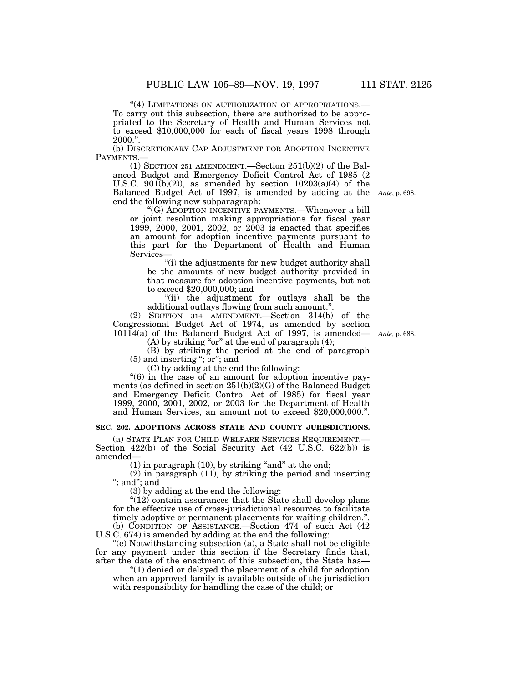"(4) LIMITATIONS ON AUTHORIZATION OF APPROPRIATIONS.-To carry out this subsection, there are authorized to be appropriated to the Secretary of Health and Human Services not to exceed \$10,000,000 for each of fiscal years 1998 through 2000.''.

(b) DISCRETIONARY CAP ADJUSTMENT FOR ADOPTION INCENTIVE PAYMENTS.—

(1) SECTION 251 AMENDMENT.—Section 251(b)(2) of the Balanced Budget and Emergency Deficit Control Act of 1985 (2 U.S.C. 901(b)(2)), as amended by section  $10203(a)(4)$  of the Balanced Budget Act of 1997, is amended by adding at the *Ante*, p. 698.end the following new subparagraph:

''(G) ADOPTION INCENTIVE PAYMENTS.—Whenever a bill or joint resolution making appropriations for fiscal year 1999, 2000, 2001, 2002, or 2003 is enacted that specifies an amount for adoption incentive payments pursuant to this part for the Department of Health and Human Services—

''(i) the adjustments for new budget authority shall be the amounts of new budget authority provided in that measure for adoption incentive payments, but not to exceed \$20,000,000; and

''(ii) the adjustment for outlays shall be the additional outlays flowing from such amount.''.

(2) SECTION 314 AMENDMENT.—Section 314(b) of the Congressional Budget Act of 1974, as amended by section 10114(a) of the Balanced Budget Act of 1997, is amended—

 $(A)$  by striking "or" at the end of paragraph  $(4)$ ;

(B) by striking the period at the end of paragraph (5) and inserting ''; or''; and

(C) by adding at the end the following:

"(6) in the case of an amount for adoption incentive payments (as defined in section  $251(b)(2)(G)$  of the Balanced Budget and Emergency Deficit Control Act of 1985) for fiscal year 1999, 2000, 2001, 2002, or 2003 for the Department of Health and Human Services, an amount not to exceed \$20,000,000.''.

### **SEC. 202. ADOPTIONS ACROSS STATE AND COUNTY JURISDICTIONS.**

(a) STATE PLAN FOR CHILD WELFARE SERVICES REQUIREMENT.— Section 422(b) of the Social Security Act (42 U.S.C. 622(b)) is amended—

 $(1)$  in paragraph  $(10)$ , by striking "and" at the end;

(2) in paragraph (11), by striking the period and inserting "; and"; and

(3) by adding at the end the following:

 $(12)$  contain assurances that the State shall develop plans for the effective use of cross-jurisdictional resources to facilitate timely adoptive or permanent placements for waiting children." (b) CONDITION OF ASSISTANCE.—Section 474 of such Act (42

U.S.C. 674) is amended by adding at the end the following: ''(e) Notwithstanding subsection (a), a State shall not be eligible for any payment under this section if the Secretary finds that, after the date of the enactment of this subsection, the State has—

''(1) denied or delayed the placement of a child for adoption when an approved family is available outside of the jurisdiction with responsibility for handling the case of the child; or

*Ante*, p. 688.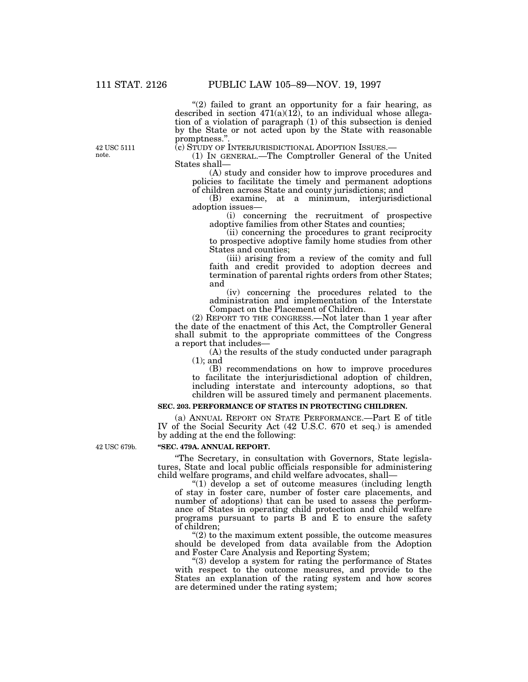" $(2)$  failed to grant an opportunity for a fair hearing, as described in section  $471(a)(12)$ , to an individual whose allegation of a violation of paragraph (1) of this subsection is denied by the State or not acted upon by the State with reasonable promptness.".<br>(c) STUDY OF INTERJURISDICTIONAL ADOPTION ISSUES.—

(1) IN GENERAL.—The Comptroller General of the United States shall—

(A) study and consider how to improve procedures and policies to facilitate the timely and permanent adoptions of children across State and county jurisdictions; and

(B) examine, at a minimum, interjurisdictional adoption issues—

(i) concerning the recruitment of prospective adoptive families from other States and counties;

(ii) concerning the procedures to grant reciprocity to prospective adoptive family home studies from other States and counties;

(iii) arising from a review of the comity and full faith and credit provided to adoption decrees and termination of parental rights orders from other States; and

(iv) concerning the procedures related to the administration and implementation of the Interstate Compact on the Placement of Children.

(2) REPORT TO THE CONGRESS.—Not later than 1 year after the date of the enactment of this Act, the Comptroller General shall submit to the appropriate committees of the Congress a report that includes—

(A) the results of the study conducted under paragraph (1); and

(B) recommendations on how to improve procedures to facilitate the interjurisdictional adoption of children, including interstate and intercounty adoptions, so that children will be assured timely and permanent placements.

## **SEC. 203. PERFORMANCE OF STATES IN PROTECTING CHILDREN.**

(a) ANNUAL REPORT ON STATE PERFORMANCE.—Part E of title IV of the Social Security Act (42 U.S.C. 670 et seq.) is amended by adding at the end the following:

42 USC 679b.

#### **''SEC. 479A. ANNUAL REPORT.**

''The Secretary, in consultation with Governors, State legislatures, State and local public officials responsible for administering child welfare programs, and child welfare advocates, shall—

''(1) develop a set of outcome measures (including length of stay in foster care, number of foster care placements, and number of adoptions) that can be used to assess the performance of States in operating child protection and child welfare programs pursuant to parts B and E to ensure the safety of children;

" $(2)$  to the maximum extent possible, the outcome measures should be developed from data available from the Adoption and Foster Care Analysis and Reporting System;

''(3) develop a system for rating the performance of States with respect to the outcome measures, and provide to the States an explanation of the rating system and how scores are determined under the rating system;

42 USC 5111 note.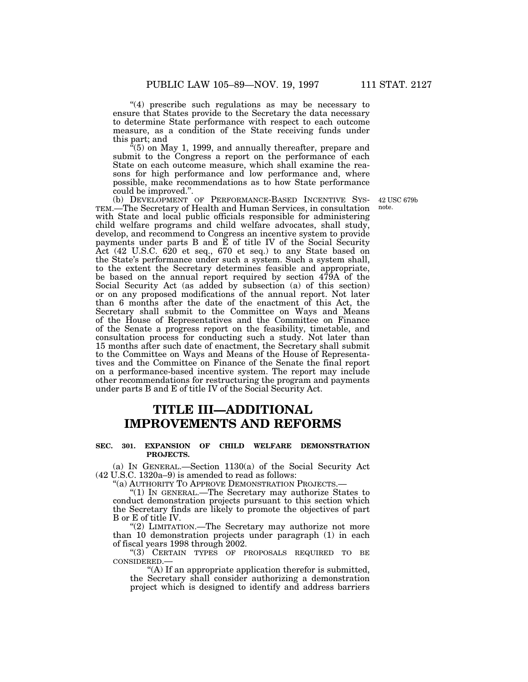"(4) prescribe such regulations as may be necessary to ensure that States provide to the Secretary the data necessary to determine State performance with respect to each outcome measure, as a condition of the State receiving funds under this part; and

 $\mathcal{F}(5)$  on May 1, 1999, and annually thereafter, prepare and submit to the Congress a report on the performance of each State on each outcome measure, which shall examine the reasons for high performance and low performance and, where possible, make recommendations as to how State performance could be improved.''.

(b) DEVELOPMENT OF PERFORMANCE-BASED INCENTIVE SYS-TEM.—The Secretary of Health and Human Services, in consultation with State and local public officials responsible for administering child welfare programs and child welfare advocates, shall study, develop, and recommend to Congress an incentive system to provide payments under parts B and E of title IV of the Social Security Act (42 U.S.C. 620 et seq., 670 et seq.) to any State based on the State's performance under such a system. Such a system shall, to the extent the Secretary determines feasible and appropriate, be based on the annual report required by section 479A of the Social Security Act (as added by subsection (a) of this section) or on any proposed modifications of the annual report. Not later than 6 months after the date of the enactment of this Act, the Secretary shall submit to the Committee on Ways and Means of the House of Representatives and the Committee on Finance of the Senate a progress report on the feasibility, timetable, and consultation process for conducting such a study. Not later than 15 months after such date of enactment, the Secretary shall submit to the Committee on Ways and Means of the House of Representatives and the Committee on Finance of the Senate the final report on a performance-based incentive system. The report may include other recommendations for restructuring the program and payments under parts B and E of title IV of the Social Security Act.

# **TITLE III—ADDITIONAL IMPROVEMENTS AND REFORMS**

#### **SEC. 301. EXPANSION OF CHILD WELFARE DEMONSTRATION PROJECTS.**

(a) IN GENERAL.—Section 1130(a) of the Social Security Act (42 U.S.C. 1320a–9) is amended to read as follows:

"(a) AUTHORITY TO APPROVE DEMONSTRATION PROJECTS.-

''(1) IN GENERAL.—The Secretary may authorize States to conduct demonstration projects pursuant to this section which the Secretary finds are likely to promote the objectives of part B or E of title IV.

"(2) LIMITATION.—The Secretary may authorize not more than 10 demonstration projects under paragraph (1) in each of fiscal years 1998 through 2002.

''(3) CERTAIN TYPES OF PROPOSALS REQUIRED TO BE CONSIDERED.—

''(A) If an appropriate application therefor is submitted, the Secretary shall consider authorizing a demonstration project which is designed to identify and address barriers

42 USC 679b note.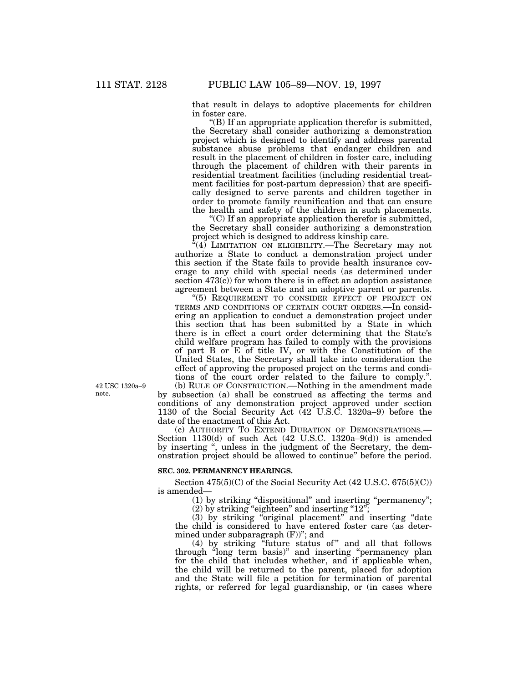that result in delays to adoptive placements for children in foster care.

''(B) If an appropriate application therefor is submitted, the Secretary shall consider authorizing a demonstration project which is designed to identify and address parental substance abuse problems that endanger children and result in the placement of children in foster care, including through the placement of children with their parents in residential treatment facilities (including residential treatment facilities for post-partum depression) that are specifically designed to serve parents and children together in order to promote family reunification and that can ensure the health and safety of the children in such placements.

 $C$ ) If an appropriate application therefor is submitted, the Secretary shall consider authorizing a demonstration project which is designed to address kinship care.

"(4) LIMITATION ON ELIGIBILITY.—The Secretary may not authorize a State to conduct a demonstration project under this section if the State fails to provide health insurance coverage to any child with special needs (as determined under section  $473(c)$  for whom there is in effect an adoption assistance agreement between a State and an adoptive parent or parents.

"(5) REQUIREMENT TO CONSIDER EFFECT OF PROJECT ON TERMS AND CONDITIONS OF CERTAIN COURT ORDERS.—In considering an application to conduct a demonstration project under this section that has been submitted by a State in which there is in effect a court order determining that the State's child welfare program has failed to comply with the provisions of part B or E of title IV, or with the Constitution of the United States, the Secretary shall take into consideration the effect of approving the proposed project on the terms and conditions of the court order related to the failure to comply.''.

(b) RULE OF CONSTRUCTION.—Nothing in the amendment made by subsection (a) shall be construed as affecting the terms and conditions of any demonstration project approved under section 1130 of the Social Security Act (42 U.S.C. 1320a–9) before the date of the enactment of this Act.

(c) AUTHORITY TO EXTEND DURATION OF DEMONSTRATIONS.— Section 1130(d) of such Act  $(42 \text{ U.S.C. } 1320a-9(d))$  is amended by inserting '', unless in the judgment of the Secretary, the demonstration project should be allowed to continue'' before the period.

#### **SEC. 302. PERMANENCY HEARINGS.**

Section 475(5)(C) of the Social Security Act (42 U.S.C. 675(5)(C)) is amended—

(1) by striking ''dispositional'' and inserting ''permanency'';

 $(2)$  by striking "eighteen" and inserting "12";

(3) by striking ''original placement'' and inserting ''date the child is considered to have entered foster care (as determined under subparagraph (F))"; and

(4) by striking "future status of" and all that follows through ''long term basis)'' and inserting ''permanency plan for the child that includes whether, and if applicable when, the child will be returned to the parent, placed for adoption and the State will file a petition for termination of parental rights, or referred for legal guardianship, or (in cases where

42 USC 1320a–9 note.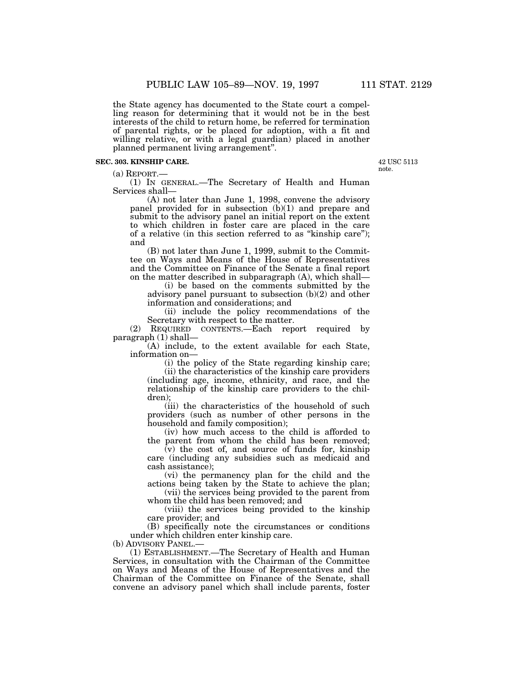the State agency has documented to the State court a compelling reason for determining that it would not be in the best interests of the child to return home, be referred for termination of parental rights, or be placed for adoption, with a fit and willing relative, or with a legal guardian) placed in another planned permanent living arrangement''.

### **SEC. 303. KINSHIP CARE.**

 $(a)$  REPORT $-$ 

(1) IN GENERAL.—The Secretary of Health and Human Services shall—

(A) not later than June 1, 1998, convene the advisory panel provided for in subsection (b)(1) and prepare and submit to the advisory panel an initial report on the extent to which children in foster care are placed in the care of a relative (in this section referred to as ''kinship care''); and

(B) not later than June 1, 1999, submit to the Committee on Ways and Means of the House of Representatives and the Committee on Finance of the Senate a final report on the matter described in subparagraph (A), which shall—

(i) be based on the comments submitted by the advisory panel pursuant to subsection (b)(2) and other information and considerations; and

(ii) include the policy recommendations of the Secretary with respect to the matter.

(2) REQUIRED CONTENTS.—Each report required by paragraph (1) shall—

(A) include, to the extent available for each State, information on—

> (i) the policy of the State regarding kinship care; (ii) the characteristics of the kinship care providers

(including age, income, ethnicity, and race, and the relationship of the kinship care providers to the children);

(iii) the characteristics of the household of such providers (such as number of other persons in the household and family composition);

(iv) how much access to the child is afforded to the parent from whom the child has been removed;

(v) the cost of, and source of funds for, kinship care (including any subsidies such as medicaid and cash assistance);

(vi) the permanency plan for the child and the actions being taken by the State to achieve the plan;

(vii) the services being provided to the parent from whom the child has been removed; and

(viii) the services being provided to the kinship care provider; and

(B) specifically note the circumstances or conditions under which children enter kinship care.

(b) ADVISORY PANEL.

(1) ESTABLISHMENT.—The Secretary of Health and Human Services, in consultation with the Chairman of the Committee on Ways and Means of the House of Representatives and the Chairman of the Committee on Finance of the Senate, shall convene an advisory panel which shall include parents, foster

42 USC 5113 note.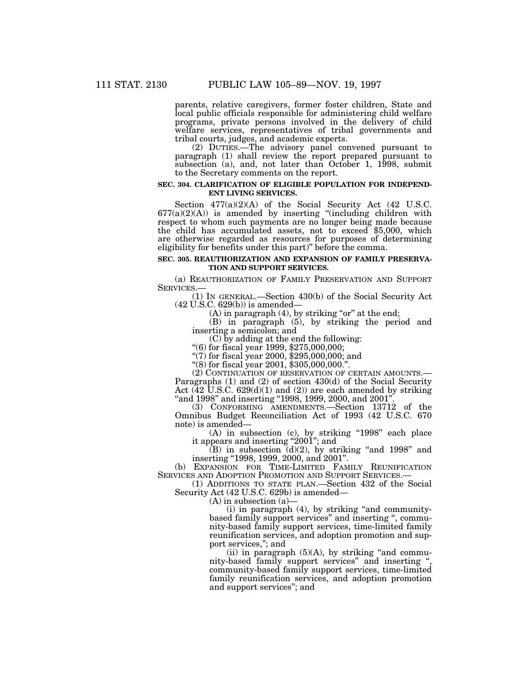parents, relative caregivers, former foster children, State and local public officials responsible for administering child welfare programs, private persons involved in the delivery of child welfare services, representatives of tribal governments and tribal courts, judges, and academic experts.

(2) DUTIES.—The advisory panel convened pursuant to paragraph (1) shall review the report prepared pursuant to subsection (a), and, not later than October 1, 1998, submit to the Secretary comments on the report.

#### **SEC. 304. CLARIFICATION OF ELIGIBLE POPULATION FOR INDEPEND-ENT LIVING SERVICES.**

Section 477(a)(2)(A) of the Social Security Act (42 U.S.C.  $677(a)(2)(A)$  is amended by inserting "(including children with respect to whom such payments are no longer being made because the child has accumulated assets, not to exceed \$5,000, which are otherwise regarded as resources for purposes of determining eligibility for benefits under this part)'' before the comma.

#### **SEC. 305. REAUTHORIZATION AND EXPANSION OF FAMILY PRESERVA-TION AND SUPPORT SERVICES.**

(a) REAUTHORIZATION OF FAMILY PRESERVATION AND SUPPORT SERVICES.—

(1) IN GENERAL.—Section 430(b) of the Social Security Act (42 U.S.C. 629(b)) is amended—

 $(A)$  in paragraph  $(4)$ , by striking "or" at the end;

(B) in paragraph (5), by striking the period and inserting a semicolon; and<br>(C) by adding at the end the following:

"(6) for fiscal year 1999,  $$275,000,000;$ 

''(7) for fiscal year 2000, \$295,000,000; and

''(8) for fiscal year 2001, \$305,000,000.''.

(2) CONTINUATION OF RESERVATION OF CERTAIN AMOUNTS.— Paragraphs (1) and (2) of section 430(d) of the Social Security Act  $(42 \text{ U.S.C. } 629 \text{ (d)}(1)$  and  $(2)$ ) are each amended by striking "and 1998" and inserting "1998, 1999, 2000, and 2001"

(3) CONFORMING AMENDMENTS.—Section 13712 of the Omnibus Budget Reconciliation Act of 1993 (42 U.S.C. 670 note) is amended—

(A) in subsection (c), by striking ''1998'' each place it appears and inserting "2001"; and

(B) in subsection (d)(2), by striking ''and 1998'' and inserting ''1998, 1999, 2000, and 2001''.

(b) EXPANSION FOR TIME-LIMITED FAMILY REUNIFICATION SERVICES AND ADOPTION PROMOTION AND SUPPORT SERVICES.— (1) ADDITIONS TO STATE PLAN.—Section 432 of the Social

Security Act (42 U.S.C. 629b) is amended—

(A) in subsection (a)—

 $(i)$  in paragraph  $(4)$ , by striking "and communitybased family support services'' and inserting '', community-based family support services, time-limited family reunification services, and adoption promotion and support services,''; and

(ii) in paragraph  $(5)(A)$ , by striking "and community-based family support services" and inserting community-based family support services, time-limited family reunification services, and adoption promotion and support services''; and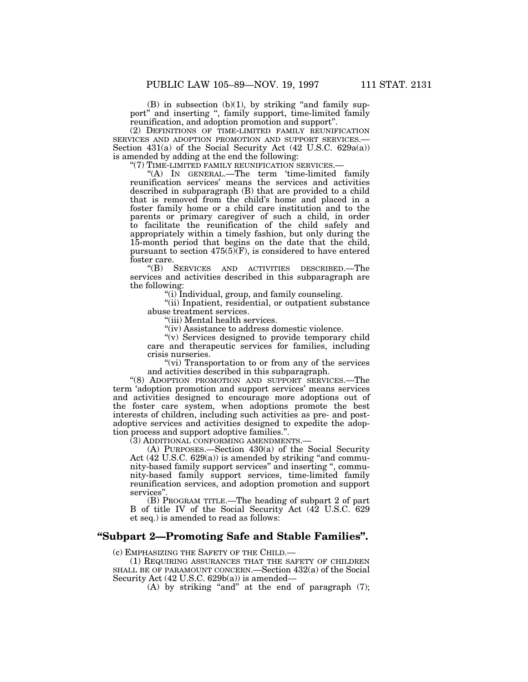$(B)$  in subsection  $(b)(1)$ , by striking "and family support'' and inserting '', family support, time-limited family reunification, and adoption promotion and support''.

(2) DEFINITIONS OF TIME-LIMITED FAMILY REUNIFICATION SERVICES AND ADOPTION PROMOTION AND SUPPORT SERVICES.— Section 431(a) of the Social Security Act (42 U.S.C. 629a(a)) is amended by adding at the end the following:

"(7) TIME-LIMITED FAMILY REUNIFICATION SERVICES.-

"(A) In GENERAL.—The term 'time-limited family reunification services' means the services and activities described in subparagraph (B) that are provided to a child that is removed from the child's home and placed in a foster family home or a child care institution and to the parents or primary caregiver of such a child, in order to facilitate the reunification of the child safely and appropriately within a timely fashion, but only during the 15-month period that begins on the date that the child, pursuant to section  $475(5)(F)$ , is considered to have entered foster care.

''(B) SERVICES AND ACTIVITIES DESCRIBED.—The services and activities described in this subparagraph are the following:

''(i) Individual, group, and family counseling.

''(ii) Inpatient, residential, or outpatient substance abuse treatment services.

''(iii) Mental health services.

''(iv) Assistance to address domestic violence.

"(v) Services designed to provide temporary child care and therapeutic services for families, including crisis nurseries.

"(vi) Transportation to or from any of the services and activities described in this subparagraph.

"(8) ADOPTION PROMOTION AND SUPPORT SERVICES.-The term 'adoption promotion and support services' means services and activities designed to encourage more adoptions out of the foster care system, when adoptions promote the best interests of children, including such activities as pre- and postadoptive services and activities designed to expedite the adoption process and support adoptive families.''.

(3) ADDITIONAL CONFORMING AMENDMENTS.—

(A) PURPOSES.—Section 430(a) of the Social Security Act  $(42 \text{ U.S.C. } 629(a))$  is amended by striking "and community-based family support services'' and inserting '', community-based family support services, time-limited family reunification services, and adoption promotion and support services''.

(B) PROGRAM TITLE.—The heading of subpart 2 of part B of title IV of the Social Security Act (42 U.S.C. 629 et seq.) is amended to read as follows:

## **''Subpart 2—Promoting Safe and Stable Families''.**

(c) EMPHASIZING THE SAFETY OF THE CHILD.—

(1) REQUIRING ASSURANCES THAT THE SAFETY OF CHILDREN SHALL BE OF PARAMOUNT CONCERN.—Section 432(a) of the Social Security Act (42 U.S.C. 629b(a)) is amended—

(A) by striking "and" at the end of paragraph  $(7)$ ;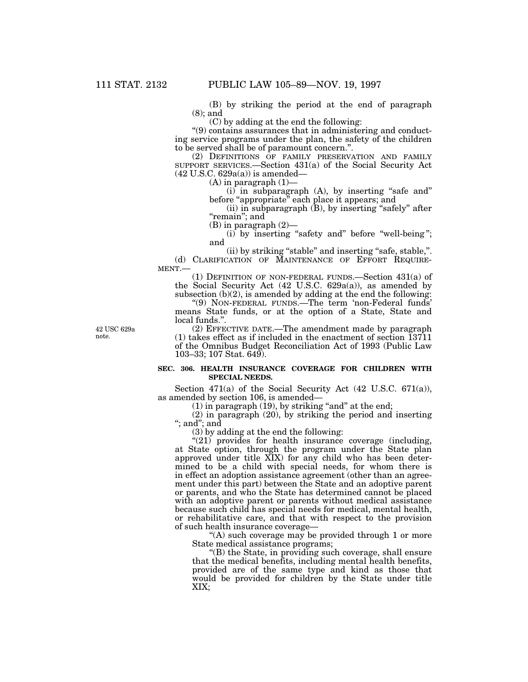(B) by striking the period at the end of paragraph (8); and

(C) by adding at the end the following:

''(9) contains assurances that in administering and conducting service programs under the plan, the safety of the children to be served shall be of paramount concern.''.

(2) DEFINITIONS OF FAMILY PRESERVATION AND FAMILY SUPPORT SERVICES.—Section 431(a) of the Social Security Act (42 U.S.C. 629a(a)) is amended—

 $(A)$  in paragraph  $(1)$ —

(i) in subparagraph (A), by inserting "safe and" before "appropriate" each place it appears; and

(ii) in subparagraph (B), by inserting ''safely'' after "remain"; and

(B) in paragraph (2)—

 $(i)$  by inserting "safety and" before "well-being"; and

(ii) by striking "stable" and inserting "safe, stable,". (d) CLARIFICATION OF MAINTENANCE OF EFFORT REQUIRE-MENT.—

(1) DEFINITION OF NON-FEDERAL FUNDS.—Section  $431(a)$  of the Social Security Act (42 U.S.C. 629a(a)), as amended by subsection (b)(2), is amended by adding at the end the following:

"(9) NON-FEDERAL FUNDS.—The term 'non-Federal funds' means State funds, or at the option of a State, State and local funds.''.

42 USC 629a note.

(2) EFFECTIVE DATE.—The amendment made by paragraph (1) takes effect as if included in the enactment of section 13711 of the Omnibus Budget Reconciliation Act of 1993 (Public Law 103–33; 107 Stat. 649).

## **SEC. 306. HEALTH INSURANCE COVERAGE FOR CHILDREN WITH SPECIAL NEEDS.**

Section 471(a) of the Social Security Act  $(42 \text{ U.S.C. } 671(a)),$ as amended by section 106, is amended—

 $(1)$  in paragraph  $(19)$ , by striking "and" at the end;

(2) in paragraph (20), by striking the period and inserting ''; and''; and

(3) by adding at the end the following:

"(21) provides for health insurance coverage (including, at State option, through the program under the State plan approved under title XIX) for any child who has been determined to be a child with special needs, for whom there is in effect an adoption assistance agreement (other than an agreement under this part) between the State and an adoptive parent or parents, and who the State has determined cannot be placed with an adoptive parent or parents without medical assistance because such child has special needs for medical, mental health, or rehabilitative care, and that with respect to the provision of such health insurance coverage—

"(A) such coverage may be provided through 1 or more State medical assistance programs;

''(B) the State, in providing such coverage, shall ensure that the medical benefits, including mental health benefits, provided are of the same type and kind as those that would be provided for children by the State under title XIX;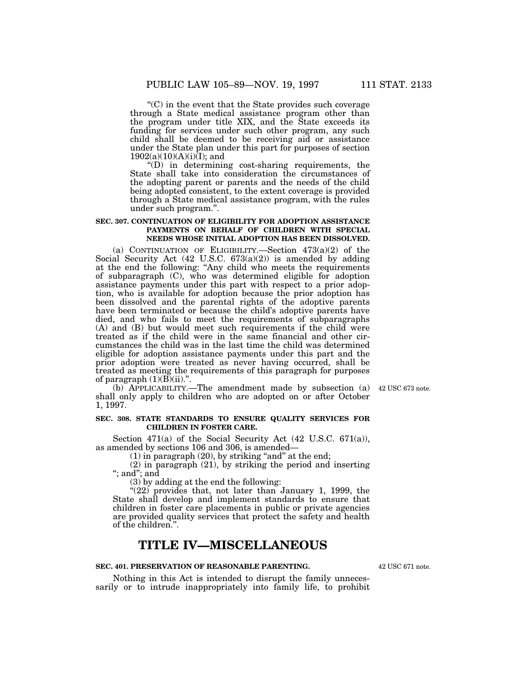''(C) in the event that the State provides such coverage through a State medical assistance program other than the program under title XIX, and the State exceeds its funding for services under such other program, any such child shall be deemed to be receiving aid or assistance under the State plan under this part for purposes of section  $1902(a)(10)(A)(i)(I);$  and

 $'(D)$  in determining cost-sharing requirements, the State shall take into consideration the circumstances of the adopting parent or parents and the needs of the child being adopted consistent, to the extent coverage is provided through a State medical assistance program, with the rules under such program.''.

#### **SEC. 307. CONTINUATION OF ELIGIBILITY FOR ADOPTION ASSISTANCE PAYMENTS ON BEHALF OF CHILDREN WITH SPECIAL NEEDS WHOSE INITIAL ADOPTION HAS BEEN DISSOLVED.**

(a) CONTINUATION OF ELIGIBILITY.—Section 473(a)(2) of the Social Security Act (42 U.S.C. 673(a)(2)) is amended by adding at the end the following: ''Any child who meets the requirements of subparagraph (C), who was determined eligible for adoption assistance payments under this part with respect to a prior adoption, who is available for adoption because the prior adoption has been dissolved and the parental rights of the adoptive parents have been terminated or because the child's adoptive parents have died, and who fails to meet the requirements of subparagraphs (A) and (B) but would meet such requirements if the child were treated as if the child were in the same financial and other circumstances the child was in the last time the child was determined eligible for adoption assistance payments under this part and the prior adoption were treated as never having occurred, shall be treated as meeting the requirements of this paragraph for purposes of paragraph  $(1)(B)(ii)$ .".

(b) APPLICABILITY.—The amendment made by subsection (a) shall only apply to children who are adopted on or after October 1, 1997.

#### **SEC. 308. STATE STANDARDS TO ENSURE QUALITY SERVICES FOR CHILDREN IN FOSTER CARE.**

Section 471(a) of the Social Security Act  $(42 \text{ U.S.C. } 671(a))$ , as amended by sections 106 and 306, is amended—

 $(1)$  in paragraph  $(20)$ , by striking "and" at the end;

(2) in paragraph (21), by striking the period and inserting ''; and''; and

(3) by adding at the end the following:

"(22) provides that, not later than January 1, 1999, the State shall develop and implement standards to ensure that children in foster care placements in public or private agencies are provided quality services that protect the safety and health of the children.''.

## **TITLE IV—MISCELLANEOUS**

### **SEC. 401. PRESERVATION OF REASONABLE PARENTING.**

Nothing in this Act is intended to disrupt the family unnecessarily or to intrude inappropriately into family life, to prohibit

42 USC 671 note.

42 USC 673 note.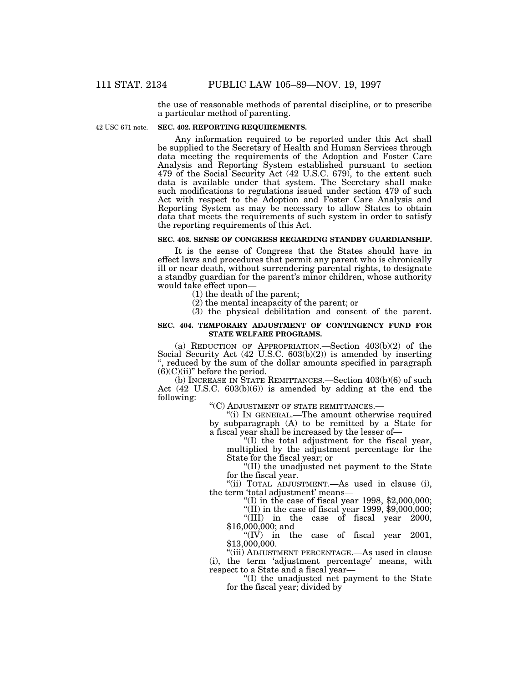the use of reasonable methods of parental discipline, or to prescribe a particular method of parenting.

42 USC 671 note.

#### **SEC. 402. REPORTING REQUIREMENTS.**

Any information required to be reported under this Act shall be supplied to the Secretary of Health and Human Services through data meeting the requirements of the Adoption and Foster Care Analysis and Reporting System established pursuant to section 479 of the Social Security Act (42 U.S.C. 679), to the extent such data is available under that system. The Secretary shall make such modifications to regulations issued under section 479 of such Act with respect to the Adoption and Foster Care Analysis and Reporting System as may be necessary to allow States to obtain data that meets the requirements of such system in order to satisfy the reporting requirements of this Act.

## **SEC. 403. SENSE OF CONGRESS REGARDING STANDBY GUARDIANSHIP.**

It is the sense of Congress that the States should have in effect laws and procedures that permit any parent who is chronically ill or near death, without surrendering parental rights, to designate a standby guardian for the parent's minor children, whose authority would take effect upon—

(1) the death of the parent;

(2) the mental incapacity of the parent; or

(3) the physical debilitation and consent of the parent.

#### **SEC. 404. TEMPORARY ADJUSTMENT OF CONTINGENCY FUND FOR STATE WELFARE PROGRAMS.**

(a) REDUCTION OF APPROPRIATION.—Section 403(b)(2) of the Social Security Act (42 U.S.C. 603(b)(2)) is amended by inserting therefore reduced by the sum of the dollar amounts specified in paragraph  $(6)(C)(ii)$ " before the period.

(b) INCREASE IN STATE REMITTANCES.—Section 403(b)(6) of such Act (42 U.S.C. 603(b)(6)) is amended by adding at the end the following:

''(C) ADJUSTMENT OF STATE REMITTANCES.—

"(i) In GENERAL.—The amount otherwise required by subparagraph (A) to be remitted by a State for a fiscal year shall be increased by the lesser of—

''(I) the total adjustment for the fiscal year, multiplied by the adjustment percentage for the State for the fiscal year; or

''(II) the unadjusted net payment to the State for the fiscal year.

''(ii) TOTAL ADJUSTMENT.—As used in clause (i), the term 'total adjustment' means—

"(I) in the case of fiscal year  $1998, \$2,000,000;$ 

"(II) in the case of fiscal year  $1999, $9,000,000;$ 

''(III) in the case of fiscal year 2000, \$16,000,000; and

" $(IV)$  in the case of fiscal year 2001, \$13,000,000.

''(iii) ADJUSTMENT PERCENTAGE.—As used in clause (i), the term 'adjustment percentage' means, with respect to a State and a fiscal year—

''(I) the unadjusted net payment to the State for the fiscal year; divided by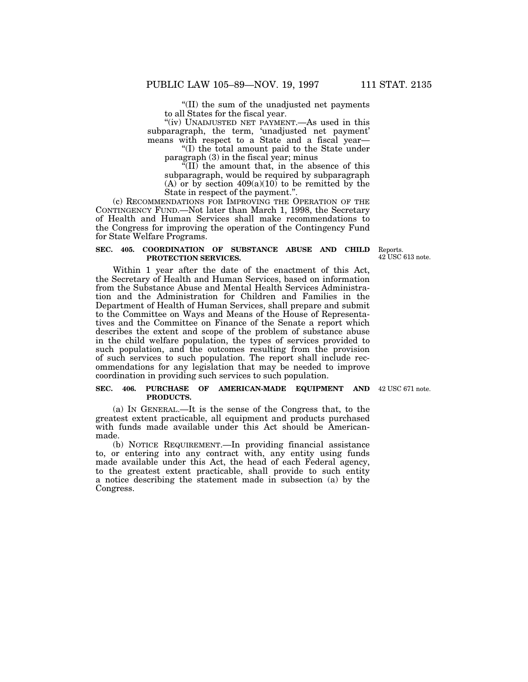''(II) the sum of the unadjusted net payments to all States for the fiscal year.

"(iv) UNADJUSTED NET PAYMENT.—As used in this subparagraph, the term, 'unadjusted net payment' means with respect to a State and a fiscal year—

''(I) the total amount paid to the State under paragraph (3) in the fiscal year; minus

 $\sqrt[\alpha]{\text{II}}$  the amount that, in the absence of this subparagraph, would be required by subparagraph (A) or by section  $409(a)(10)$  to be remitted by the State in respect of the payment.''.

(c) RECOMMENDATIONS FOR IMPROVING THE OPERATION OF THE CONTINGENCY FUND.—Not later than March 1, 1998, the Secretary of Health and Human Services shall make recommendations to the Congress for improving the operation of the Contingency Fund for State Welfare Programs.

#### **SEC. 405. COORDINATION OF SUBSTANCE ABUSE AND CHILD** Reports. **PROTECTION SERVICES.**

42 USC 613 note.

Within 1 year after the date of the enactment of this Act, the Secretary of Health and Human Services, based on information from the Substance Abuse and Mental Health Services Administration and the Administration for Children and Families in the Department of Health of Human Services, shall prepare and submit to the Committee on Ways and Means of the House of Representatives and the Committee on Finance of the Senate a report which describes the extent and scope of the problem of substance abuse in the child welfare population, the types of services provided to such population, and the outcomes resulting from the provision of such services to such population. The report shall include recommendations for any legislation that may be needed to improve coordination in providing such services to such population.

#### **SEC. 406. PURCHASE OF AMERICAN-MADE EQUIPMENT AND** 42 USC 671 note. **PRODUCTS.**

(a) IN GENERAL.—It is the sense of the Congress that, to the greatest extent practicable, all equipment and products purchased with funds made available under this Act should be Americanmade.

(b) NOTICE REQUIREMENT.—In providing financial assistance to, or entering into any contract with, any entity using funds made available under this Act, the head of each Federal agency, to the greatest extent practicable, shall provide to such entity a notice describing the statement made in subsection (a) by the Congress.